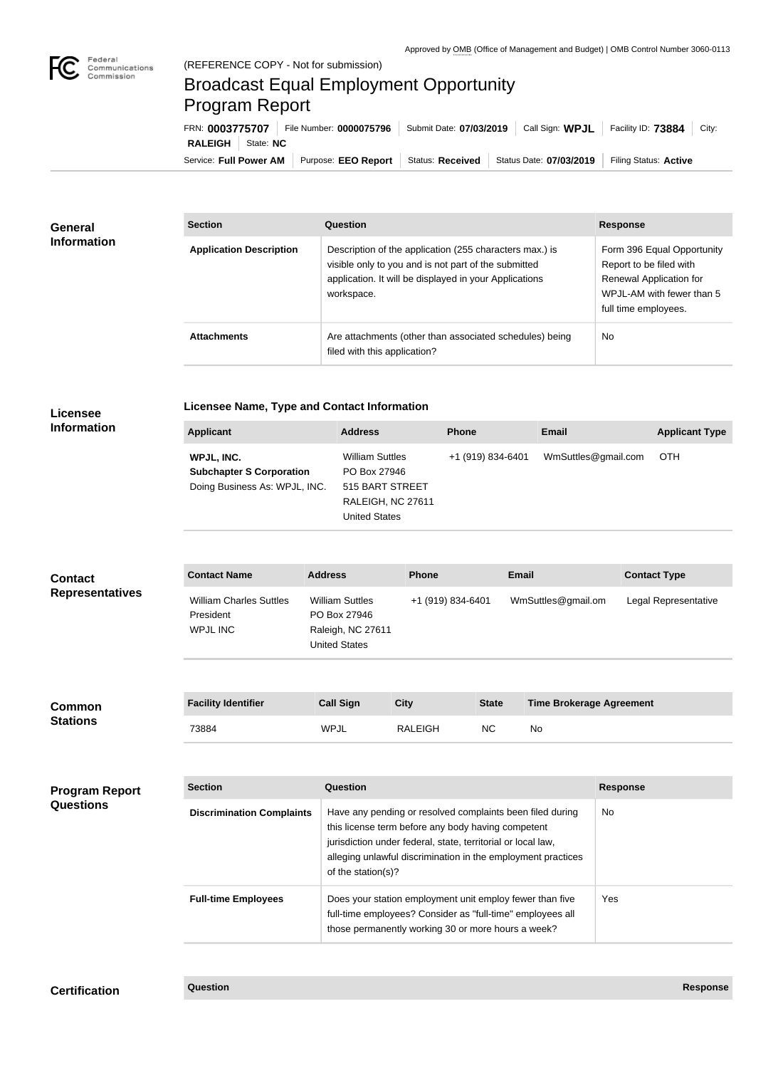

## Broadcast Equal Employment Opportunity Program Report

Service: Full Power AM | Purpose: EEO Report | Status: Received | Status Date: 07/03/2019 | Filing Status: Active **RALEIGH** State: **NC** FRN: **0003775707** File Number: **0000075796** Submit Date: **07/03/2019** Call Sign: **WPJL** Facility ID: **73884** City:

| <b>General</b>         | <b>Section</b>                                                                 | <b>Question</b>                                                                                                                                                                                                                                                       |                |                   |                                 | <b>Response</b>                                                                                                                       |
|------------------------|--------------------------------------------------------------------------------|-----------------------------------------------------------------------------------------------------------------------------------------------------------------------------------------------------------------------------------------------------------------------|----------------|-------------------|---------------------------------|---------------------------------------------------------------------------------------------------------------------------------------|
| <b>Information</b>     | <b>Application Description</b>                                                 | Description of the application (255 characters max.) is<br>visible only to you and is not part of the submitted<br>application. It will be displayed in your Applications<br>workspace.                                                                               |                |                   |                                 | Form 396 Equal Opportunity<br>Report to be filed with<br>Renewal Application for<br>WPJL-AM with fewer than 5<br>full time employees. |
|                        | <b>Attachments</b>                                                             | Are attachments (other than associated schedules) being<br>filed with this application?                                                                                                                                                                               |                |                   |                                 | No                                                                                                                                    |
| <b>Licensee</b>        | <b>Licensee Name, Type and Contact Information</b>                             |                                                                                                                                                                                                                                                                       |                |                   |                                 |                                                                                                                                       |
| <b>Information</b>     | <b>Applicant</b>                                                               | <b>Address</b>                                                                                                                                                                                                                                                        |                | <b>Phone</b>      | <b>Email</b>                    | <b>Applicant Type</b>                                                                                                                 |
|                        | WPJL, INC.<br><b>Subchapter S Corporation</b><br>Doing Business As: WPJL, INC. | <b>William Suttles</b><br>PO Box 27946<br>515 BART STREET<br>RALEIGH, NC 27611<br><b>United States</b>                                                                                                                                                                |                | +1 (919) 834-6401 | WmSuttles@gmail.com             | <b>OTH</b>                                                                                                                            |
|                        |                                                                                |                                                                                                                                                                                                                                                                       |                |                   |                                 |                                                                                                                                       |
| <b>Contact</b>         | <b>Contact Name</b>                                                            | <b>Address</b>                                                                                                                                                                                                                                                        | <b>Phone</b>   |                   | <b>Email</b>                    | <b>Contact Type</b>                                                                                                                   |
| <b>Representatives</b> | <b>William Charles Suttles</b><br>President<br><b>WPJL INC</b>                 | <b>William Suttles</b><br>PO Box 27946<br>Raleigh, NC 27611<br><b>United States</b>                                                                                                                                                                                   |                | +1 (919) 834-6401 | WmSuttles@gmail.om              | Legal Representative                                                                                                                  |
| <b>Common</b>          | <b>Facility Identifier</b>                                                     | <b>Call Sign</b>                                                                                                                                                                                                                                                      | <b>City</b>    | <b>State</b>      | <b>Time Brokerage Agreement</b> |                                                                                                                                       |
| <b>Stations</b>        | 73884                                                                          | <b>WPJL</b>                                                                                                                                                                                                                                                           | <b>RALEIGH</b> | <b>NC</b>         | No                              |                                                                                                                                       |
|                        |                                                                                |                                                                                                                                                                                                                                                                       |                |                   |                                 |                                                                                                                                       |
| <b>Program Report</b>  | <b>Section</b>                                                                 | <b>Question</b>                                                                                                                                                                                                                                                       |                |                   |                                 | <b>Response</b>                                                                                                                       |
| <b>Questions</b>       | <b>Discrimination Complaints</b>                                               | Have any pending or resolved complaints been filed during<br>this license term before any body having competent<br>jurisdiction under federal, state, territorial or local law,<br>alleging unlawful discrimination in the employment practices<br>of the station(s)? |                |                   |                                 | <b>No</b>                                                                                                                             |
|                        | <b>Full-time Employees</b>                                                     | Does your station employment unit employ fewer than five<br>full-time employees? Consider as "full-time" employees all<br>those permanently working 30 or more hours a week?                                                                                          |                |                   |                                 | Yes                                                                                                                                   |